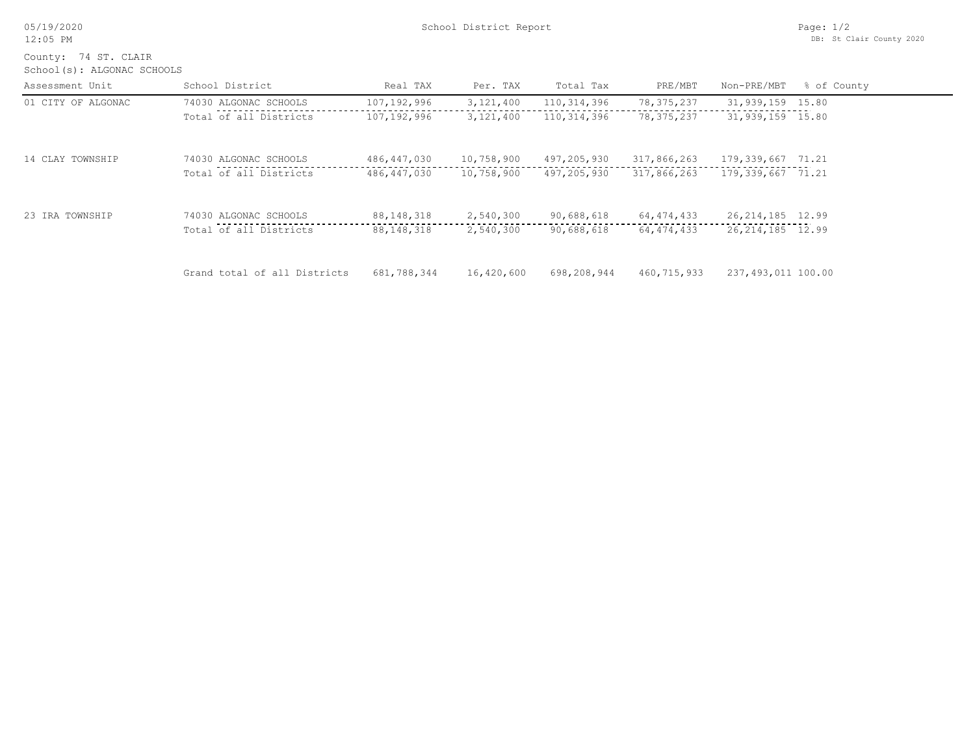| 05/19/2020 |
|------------|
|------------|

School(s): ALGONAC SCHOOLS County: 74 ST. CLAIR

| Assessment Unit    | School District              | Real TAX     | Per. TAX    | Total Tax   | PRE/MBT      | Non-PRE/MBT         | % of County |
|--------------------|------------------------------|--------------|-------------|-------------|--------------|---------------------|-------------|
| 01 CITY OF ALGONAC | 74030 ALGONAC SCHOOLS        | 107,192,996  | 3, 121, 400 | 110,314,396 | 78, 375, 237 | 31,939,159 15.80    |             |
|                    | Total of all Districts       | 107,192,996  | 3,121,400   | 110,314,396 | 78,375,237   | 31,939,159 15.80    |             |
| 14 CLAY TOWNSHIP   | 74030 ALGONAC SCHOOLS        | 486,447,030  | 10,758,900  | 497,205,930 | 317,866,263  | 179,339,667 71.21   |             |
|                    | Total of all Districts       | 486,447,030  | 10,758,900  | 497,205,930 | 317,866,263  | 179, 339, 667 71.21 |             |
| 23 IRA TOWNSHIP    | 74030 ALGONAC SCHOOLS        | 88, 148, 318 | 2,540,300   | 90,688,618  | 64, 474, 433 | 26, 214, 185 12.99  |             |
|                    | Total of all Districts       | 88,148,318   | 2,540,300   | 90,688,618  | 64,474,433   | 26, 214, 185 12.99  |             |
|                    | Grand total of all Districts | 681,788,344  | 16,420,600  | 698,208,944 | 460,715,933  | 237,493,011 100.00  |             |